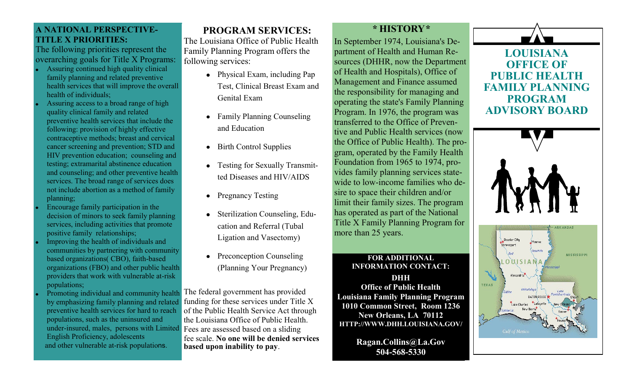### **A NATIONAL PERSPECTIVE-TITLE X PRIORITIES:**

The following priorities represent the overarching goals for Title X Programs:

- Assuring continued high quality clinical family planning and related preventive health services that will improve the overall health of individuals;
- Assuring access to a broad range of high quality clinical family and related preventive health services that include the following: provision of highly effective contraceptive methods; breast and cervical cancer screening and prevention; STD and HIV prevention education; counseling and testing; extramarital abstinence education and counseling; and other preventive health services. The broad range of services does not include abortion as a method of family planning;
- Encourage family participation in the decision of minors to seek family planning services, including activities that promote positive family relationships;
- Improving the health of individuals and communities by partnering with community based organizations( CBO), faith-based organizations (FBO) and other public health providers that work with vulnerable at-risk populations;
- **Promoting individual and community health** The federal government has provided by emphasizing family planning and related preventive health services for hard to reach populations, such as the uninsured and under-insured, males, persons with Limited Fees are assessed based on a sliding English Proficiency, adolescents and other vulnerable at-risk populations.

# **PROGRAM SERVICES:**

The Louisiana Office of Public Health Family Planning Program offers the following services:

- Physical Exam, including Pap Test, Clinical Breast Exam and Genital Exam
- Family Planning Counseling  $\bullet$ and Education
- Birth Control Supplies
- Testing for Sexually Transmitted Diseases and HIV/AIDS
- Pregnancy Testing  $\bullet$
- Sterilization Counseling, Education and Referral (Tubal Ligation and Vasectomy)
- Preconception Counseling (Planning Your Pregnancy)

funding for these services under Title X of the Public Health Service Act through the Louisiana Office of Public Health. fee scale. **No one will be denied services based upon inability to pay**.

## *\** **HISTORY***\**

In September 1974, Louisiana's Department of Health and Human Resources (DHHR, now the Department of Health and Hospitals), Office of Management and Finance assumed the responsibility for managing and operating the state's Family Planning Program. In 1976, the program was transferred to the Office of Preventive and Public Health services (now the Office of Public Health). The program, operated by the Family Health Foundation from 1965 to 1974, provides family planning services statewide to low-income families who desire to space their children and/or limit their family sizes. The program has operated as part of the National Title X Family Planning Program for more than 25 years.

#### **FOR ADDITIONAL INFORMATION CONTACT: DHH Office of Public Health Louisiana Family Planning Program 1010 Common Street, Room 1236 New Orleans, LA 70112 HTTP://WWW.DHH.LOUISIANA.GOV/**

**Ragan.Collins@La.Gov 504-568-5330**